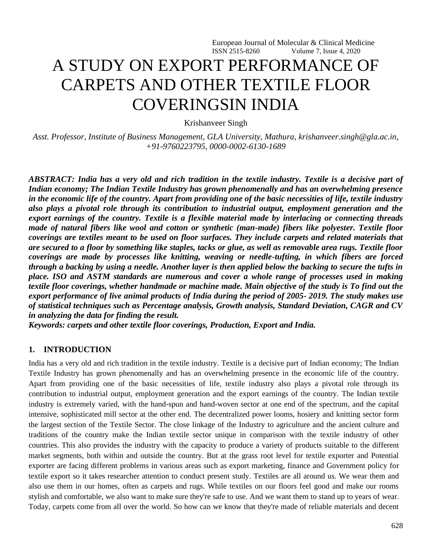# A STUDY ON EXPORT PERFORMANCE OF CARPETS AND OTHER TEXTILE FLOOR COVERINGSIN INDIA

Krishanveer Singh

*Asst. Professor, Institute of Business Management, GLA University, Mathura, [krishanveer.singh@gla.ac.in,](mailto:krishanveer.singh@gla.ac.in) +91-9760223795, [0000-0002-6130-1689](https://www.scopus.com/redirect.uri?url=http://www.orcid.org/0000-0002-6130-1689&authorId=57211781237&origin=AuthorProfile&orcId=0000-0002-6130-1689&category=orcidLink)*

*ABSTRACT: India has a very old and rich tradition in the textile industry. Textile is a decisive part of Indian economy; The Indian Textile Industry has grown phenomenally and has an overwhelming presence in the economic life of the country. Apart from providing one of the basic necessities of life, textile industry also plays a pivotal role through its contribution to industrial output, employment generation and the export earnings of the country. Textile is a flexible material made by interlacing or connecting threads made of natural fibers like wool and cotton or synthetic (man-made) fibers like polyester. Textile floor coverings are textiles meant to be used on floor surfaces. They include carpets and related materials that are secured to a floor by something like staples, tacks or glue, as well as removable area rugs. Textile floor coverings are made by processes like knitting, weaving or needle-tufting, in which fibers are forced through a backing by using a needle. Another layer is then applied below the backing to secure the tufts in place. ISO and ASTM standards are numerous and cover a whole range of processes used in making textile floor coverings, whether handmade or machine made. Main objective of the study is To find out the export performance of live animal products of India during the period of 2005- 2019. The study makes use of statistical techniques such as Percentage analysis, Growth analysis, Standard Deviation, CAGR and CV in analyzing the data for finding the result.*

*Keywords: carpets and other textile floor coverings, Production, Export and India.*

#### **1. INTRODUCTION**

India has a very old and rich tradition in the textile industry. Textile is a decisive part of Indian economy; The Indian Textile Industry has grown phenomenally and has an overwhelming presence in the economic life of the country. Apart from providing one of the basic necessities of life, textile industry also plays a pivotal role through its contribution to industrial output, employment generation and the export earnings of the country. The Indian textile industry is extremely varied, with the hand-spun and hand-woven sector at one end of the spectrum, and the capital intensive, sophisticated mill sector at the other end. The decentralized power looms, hosiery and knitting sector form the largest section of the Textile Sector. The close linkage of the Industry to agriculture and the ancient culture and traditions of the country make the Indian textile sector unique in comparison with the textile industry of other countries. This also provides the industry with the capacity to produce a variety of products suitable to the different market segments, both within and outside the country. But at the grass root level for textile exporter and Potential exporter are facing different problems in various areas such as export marketing, finance and Government policy for textile export so it takes researcher attention to conduct present study. Textiles are all around us. We wear them and also use them in our homes, often as carpets and rugs. While textiles on our floors feel good and make our rooms stylish and comfortable, we also want to make sure they're safe to use. And we want them to stand up to years of wear. Today, carpets come from all over the world. So how can we know that they're made of reliable materials and decent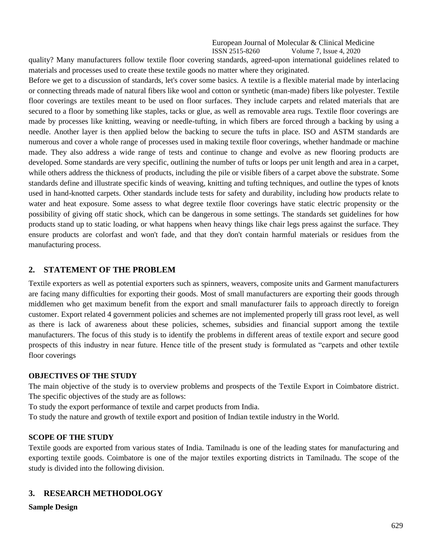quality? Many manufacturers follow textile floor covering standards, agreed-upon international guidelines related to materials and processes used to create these textile goods no matter where they originated.

Before we get to a discussion of standards, let's cover some basics. A textile is a flexible material made by interlacing or connecting threads made of natural fibers like wool and cotton or synthetic (man-made) fibers like polyester. Textile floor coverings are textiles meant to be used on floor surfaces. They include carpets and related materials that are secured to a floor by something like staples, tacks or glue, as well as removable area rugs. Textile floor coverings are made by processes like knitting, weaving or needle-tufting, in which fibers are forced through a backing by using a needle. Another layer is then applied below the backing to secure the tufts in place. ISO and ASTM standards are numerous and cover a whole range of processes used in making textile floor coverings, whether handmade or machine made. They also address a wide range of tests and continue to change and evolve as new flooring products are developed. Some standards are very specific, outlining the number of tufts or loops per unit length and area in a carpet, while others address the thickness of products, including the pile or visible fibers of a carpet above the substrate. Some standards define and illustrate specific kinds of weaving, knitting and tufting techniques, and outline the types of knots used in hand-knotted carpets. Other standards include tests for safety and durability, including how products relate to water and heat exposure. Some assess to what degree textile floor coverings have static electric propensity or the possibility of giving off static shock, which can be dangerous in some settings. The standards set guidelines for how products stand up to static loading, or what happens when heavy things like chair legs press against the surface. They ensure products are colorfast and won't fade, and that they don't contain harmful materials or residues from the manufacturing process.

### **2. STATEMENT OF THE PROBLEM**

Textile exporters as well as potential exporters such as spinners, weavers, composite units and Garment manufacturers are facing many difficulties for exporting their goods. Most of small manufacturers are exporting their goods through middlemen who get maximum benefit from the export and small manufacturer fails to approach directly to foreign customer. Export related 4 government policies and schemes are not implemented properly till grass root level, as well as there is lack of awareness about these policies, schemes, subsidies and financial support among the textile manufacturers. The focus of this study is to identify the problems in different areas of textile export and secure good prospects of this industry in near future. Hence title of the present study is formulated as "carpets and other textile floor coverings

#### **OBJECTIVES OF THE STUDY**

The main objective of the study is to overview problems and prospects of the Textile Export in Coimbatore district. The specific objectives of the study are as follows:

To study the export performance of textile and carpet products from India.

To study the nature and growth of textile export and position of Indian textile industry in the World.

### **SCOPE OF THE STUDY**

Textile goods are exported from various states of India. Tamilnadu is one of the leading states for manufacturing and exporting textile goods. Coimbatore is one of the major textiles exporting districts in Tamilnadu. The scope of the study is divided into the following division.

### **3. RESEARCH METHODOLOGY**

#### **Sample Design**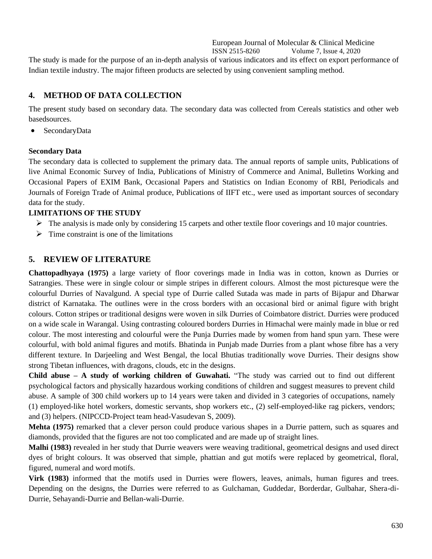The study is made for the purpose of an in-depth analysis of various indicators and its effect on export performance of Indian textile industry. The major fifteen products are selected by using convenient sampling method.

### **4. METHOD OF DATA COLLECTION**

The present study based on secondary data. The secondary data was collected from Cereals statistics and other web basedsources.

• SecondaryData

### **Secondary Data**

The secondary data is collected to supplement the primary data. The annual reports of sample units, Publications of live Animal Economic Survey of India, Publications of Ministry of Commerce and Animal, Bulletins Working and Occasional Papers of EXIM Bank, Occasional Papers and Statistics on Indian Economy of RBI, Periodicals and Journals of Foreign Trade of Animal produce, Publications of IIFT etc., were used as important sources of secondary data for the study.

### **LIMITATIONS OF THE STUDY**

- $\triangleright$  The analysis is made only by considering 15 carpets and other textile floor coverings and 10 major countries.
- $\triangleright$  Time constraint is one of the limitations

### **5. REVIEW OF LITERATURE**

**Chattopadhyaya (1975)** a large variety of floor coverings made in India was in cotton, known as Durries or Satrangies. These were in single colour or simple stripes in different colours. Almost the most picturesque were the colourful Durries of Navalgund. A special type of Durrie called Sutada was made in parts of Bijapur and Dharwar district of Karnataka. The outlines were in the cross borders with an occasional bird or animal figure with bright colours. Cotton stripes or traditional designs were woven in silk Durries of Coimbatore district. Durries were produced on a wide scale in Warangal. Using contrasting coloured borders Durries in Himachal were mainly made in blue or red colour. The most interesting and colourful were the Punja Durries made by women from hand spun yarn. These were colourful, with bold animal figures and motifs. Bhatinda in Punjab made Durries from a plant whose fibre has a very different texture. In Darjeeling and West Bengal, the local Bhutias traditionally wove Durries. Their designs show strong Tibetan influences, with dragons, clouds, etc in the designs.

**Child abuse – A study of working children of Guwahati.** "The study was carried out to find out different psychological factors and physically hazardous working conditions of children and suggest measures to prevent child abuse. A sample of 300 child workers up to 14 years were taken and divided in 3 categories of occupations, namely (1) employed-like hotel workers, domestic servants, shop workers etc., (2) self-employed-like rag pickers, vendors; and (3) helpers. (NIPCCD-Project team head-Vasudevan S, 2009).

**Mehta (1975)** remarked that a clever person could produce various shapes in a Durrie pattern, such as squares and diamonds, provided that the figures are not too complicated and are made up of straight lines.

**Malhi (1983)** revealed in her study that Durrie weavers were weaving traditional, geometrical designs and used direct dyes of bright colours. It was observed that simple, phattian and gut motifs were replaced by geometrical, floral, figured, numeral and word motifs.

**Virk (1983)** informed that the motifs used in Durries were flowers, leaves, animals, human figures and trees. Depending on the designs, the Durries were referred to as Gulchaman, Guddedar, Borderdar, Gulbahar, Shera-di-Durrie, Sehayandi-Durrie and Bellan-wali-Durrie.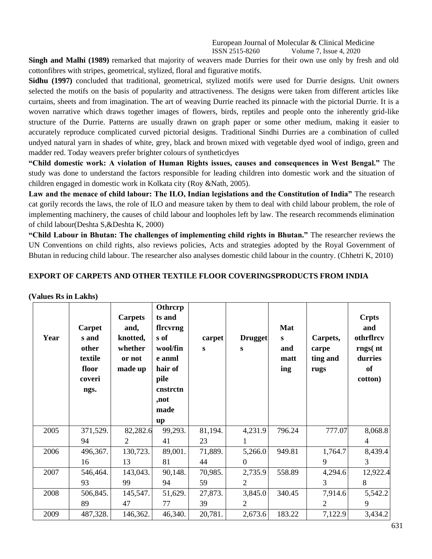**Singh and Malhi (1989)** remarked that majority of weavers made Durries for their own use only by fresh and old cottonfibres with stripes, geometrical, stylized, floral and figurative motifs.

**Sidhu (1997)** concluded that traditional, geometrical, stylized motifs were used for Durrie designs. Unit owners selected the motifs on the basis of popularity and attractiveness. The designs were taken from different articles like curtains, sheets and from imagination. The art of weaving Durrie reached its pinnacle with the pictorial Durrie. It is a woven narrative which draws together images of flowers, birds, reptiles and people onto the inherently grid-like structure of the Durrie. Patterns are usually drawn on graph paper or some other medium, making it easier to accurately reproduce complicated curved pictorial designs. Traditional Sindhi Durries are a combination of culled undyed natural yarn in shades of white, grey, black and brown mixed with vegetable dyed wool of indigo, green and madder red. Today weavers prefer brighter colours of syntheticdyes

**"Child domestic work: A violation of Human Rights issues, causes and consequences in West Bengal."** The study was done to understand the factors responsible for leading children into domestic work and the situation of children engaged in domestic work in Kolkata city (Roy &Nath, 2005).

**Law and the menace of child labour: The ILO, Indian legislations and the Constitution of India"** The research cat gorily records the laws, the role of ILO and measure taken by them to deal with child labour problem, the role of implementing machinery, the causes of child labour and loopholes left by law. The research recommends elimination of child labour(Deshta S,&Deshta K, 2000)

**"Child Labour in Bhutan: The challenges of implementing child rights in Bhutan."** The researcher reviews the UN Conventions on child rights, also reviews policies, Acts and strategies adopted by the Royal Government of Bhutan in reducing child labour. The researcher also analyses domestic child labour in the country. (Chhetri K, 2010)

### **EXPORT OF CARPETS AND OTHER TEXTILE FLOOR COVERINGSPRODUCTS FROM INDIA**

#### **(Values Rs in Lakhs)**

| Year | Carpet<br>s and<br>other<br>textile<br>floor<br>coveri<br>ngs. | <b>Carpets</b><br>and,<br>knotted,<br>whether<br>or not<br>made up | Othrcrp<br>ts and<br>flrcvrng<br>s of<br>wool/fin<br>e anml<br>hair of<br>pile<br>cnstrctn<br>,not<br>made<br>up | carpet<br>S | <b>Drugget</b><br>S | Mat<br>$\mathbf{s}$<br>and<br>matt<br>ing | Carpets,<br>carpe<br>ting and<br>rugs | <b>Crpts</b><br>and<br>othrflrcv<br>rngs(nt)<br>durries<br>of<br>cotton) |
|------|----------------------------------------------------------------|--------------------------------------------------------------------|------------------------------------------------------------------------------------------------------------------|-------------|---------------------|-------------------------------------------|---------------------------------------|--------------------------------------------------------------------------|
| 2005 | 371,529.                                                       | 82,282.6                                                           | 99,293.                                                                                                          | 81,194.     | 4,231.9             | 796.24                                    | 777.07                                | 8,068.8                                                                  |
|      | 94                                                             | $\overline{2}$                                                     | 41                                                                                                               | 23          | 1                   |                                           |                                       | $\overline{4}$                                                           |
| 2006 | 496,367.                                                       | 130,723.                                                           | 89,001.                                                                                                          | 71,889.     | 5,266.0             | 949.81                                    | 1,764.7                               | 8,439.4                                                                  |
|      | 16                                                             | 13                                                                 | 81                                                                                                               | 44          | $\boldsymbol{0}$    |                                           | 9                                     | 3                                                                        |
| 2007 | 546,464.                                                       | 143,043.                                                           | 90,148.                                                                                                          | 70,985.     | 2,735.9             | 558.89                                    | 4,294.6                               | 12,922.4                                                                 |
|      | 93                                                             | 99                                                                 | 94                                                                                                               | 59          | 2                   |                                           | 3                                     | 8                                                                        |
| 2008 | 506,845.                                                       | 145,547.                                                           | 51,629.                                                                                                          | 27,873.     | 3,845.0             | 340.45                                    | 7,914.6                               | 5,542.2                                                                  |
|      | 89                                                             | 47                                                                 | 77                                                                                                               | 39          | 2                   |                                           | 2                                     | 9                                                                        |
| 2009 | 487,328.                                                       | 146,362.                                                           | 46,340.                                                                                                          | 20,781.     | 2,673.6             | 183.22                                    | 7,122.9                               | 3,434.2                                                                  |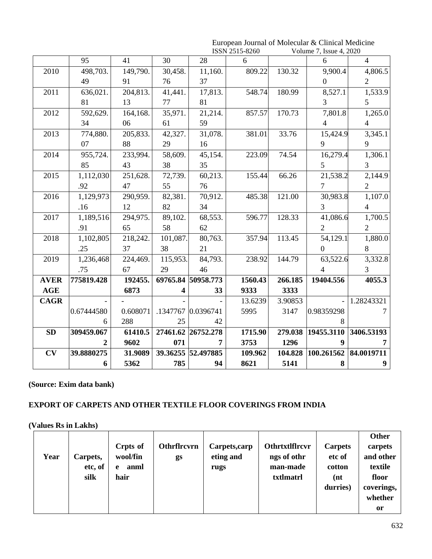|             |            |          |          | ISSN 2515-8260     |         | Volume 7, Issue 4, 2020 |                       |                       |
|-------------|------------|----------|----------|--------------------|---------|-------------------------|-----------------------|-----------------------|
|             | 95         | 41       | 30       | 28                 | 6       |                         | 6                     | $\overline{4}$        |
| 2010        | 498,703.   | 149,790. | 30,458.  | 11,160.            | 809.22  | 130.32                  | 9,900.4               | 4,806.5               |
|             | 49         | 91       | 76       | 37                 |         |                         | $\overline{0}$        | $\overline{2}$        |
| 2011        | 636,021.   | 204,813. | 41,441.  | 17,813.            | 548.74  | 180.99                  | 8,527.1               | 1,533.9               |
|             | 81         | 13       | 77       | 81                 |         |                         | 3                     | 5                     |
| 2012        | 592,629.   | 164,168. | 35,971.  | 21,214.            | 857.57  | 170.73                  | 7,801.8               | 1,265.0               |
|             | 34         | 06       | 61       | 59                 |         |                         | $\overline{4}$        | $\overline{4}$        |
| 2013        | 774,880.   | 205,833. | 42,327.  | 31,078.            | 381.01  | 33.76                   | 15,424.9              | 3,345.1               |
|             | 07         | 88       | 29       | 16                 |         |                         | 9                     | 9                     |
| 2014        | 955,724.   | 233,994. | 58,609.  | 45,154.            | 223.09  | 74.54                   | 16,279.4              | 1,306.1               |
|             | 85         | 43       | 38       | 35                 |         |                         | 5                     | $\overline{3}$        |
| 2015        | 1,112,030  | 251,628. | 72,739.  | 60,213.            | 155.44  | 66.26                   | 21,538.2              | 2,144.9               |
|             | .92        | 47       | 55       | 76                 |         |                         | $\overline{7}$        | $\overline{2}$        |
| 2016        | 1,129,973  | 290,959. | 82,381.  | 70,912.            | 485.38  | 121.00                  | 30,983.8              | 1,107.0               |
|             | .16        | 12       | 82       | 34                 |         |                         | 3                     | $\overline{4}$        |
| 2017        | 1,189,516  | 294,975. | 89,102.  | 68,553.            | 596.77  | 128.33                  | 41,086.6              | 1,700.5               |
|             | .91        | 65       | 58       | 62                 |         |                         | $\overline{2}$        | $\overline{2}$        |
| 2018        | 1,102,805  | 218,242. | 101,087. | 80,763.            | 357.94  | 113.45                  | 54,129.1              | 1,880.0               |
|             | .25        | 37       | 38       | 21                 |         |                         | $\boldsymbol{0}$      | $8\,$                 |
| 2019        | 1,236,468  | 224,469. | 115,953. | 84,793.            | 238.92  | 144.79                  | 63,522.6              | 3,332.8               |
|             | .75        | 67       | 29       | 46                 |         |                         | $\overline{4}$        | $\overline{3}$        |
| <b>AVER</b> | 775819.428 | 192455.  |          | 69765.84 50958.773 | 1560.43 | 266.185                 | 19404.556             | 4055.3                |
| <b>AGE</b>  |            | 6873     | 4        | 33                 | 9333    | 3333                    |                       |                       |
| <b>CAGR</b> |            |          |          |                    | 13.6239 | 3.90853                 |                       | 1.28243321            |
|             | 0.67444580 | 0.608071 |          | .1347767 0.0396741 | 5995    | 3147                    | 0.98359298            | $\tau$                |
|             | 6          | 288      | 25       | 42                 |         |                         | 8                     |                       |
| <b>SD</b>   | 309459.067 | 61410.5  |          | 27461.62 26752.278 | 1715.90 | 279.038                 |                       | 19455.3110 3406.53193 |
|             |            | 9602     | 071      | 7                  | 3753    | 1296                    | 9                     |                       |
| CV          | 39.8880275 | 31.9089  |          | 39.36255 52.497885 | 109.962 | 104.828                 | 100.261562 84.0019711 |                       |
|             | 6          | 5362     | 785      | 94                 | 8621    | 5141                    | 8                     | 9 <sup>°</sup>        |

## European Journal of Molecular & Clinical Medicine

### **(Source: Exim data bank)**

### **EXPORT OF CARPETS AND OTHER TEXTILE FLOOR COVERINGS FROM INDIA**

**(Values Rs in Lakhs)**

|      |          |           |             |               |                       |                | Other      |
|------|----------|-----------|-------------|---------------|-----------------------|----------------|------------|
|      |          | Crpts of  | Othrflrcvrn | Carpets, carp | <b>Othrtxtlflrcvr</b> | <b>Carpets</b> | carpets    |
| Year | Carpets, | wool/fin  | gs          | eting and     | ngs of othr           | etc of         | and other  |
|      | etc, of  | anml<br>e |             | rugs          | man-made              | cotton         | textile    |
|      | silk     | hair      |             |               | txtlmatrl             | (nt            | floor      |
|      |          |           |             |               |                       | durries)       | coverings, |
|      |          |           |             |               |                       |                | whether    |
|      |          |           |             |               |                       |                | or         |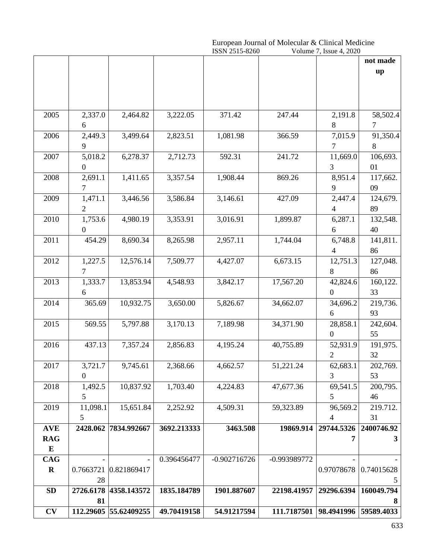|             |                |                       |             | European Journal of Molecular & Clinical Medicine<br>ISSN 2515-8260<br>Volume 7, Issue 4, 2020 |              |                  |            |  |
|-------------|----------------|-----------------------|-------------|------------------------------------------------------------------------------------------------|--------------|------------------|------------|--|
|             |                |                       | not made    |                                                                                                |              |                  |            |  |
|             |                |                       |             |                                                                                                |              |                  | up         |  |
|             |                |                       |             |                                                                                                |              |                  |            |  |
|             |                |                       |             |                                                                                                |              |                  |            |  |
|             |                |                       |             |                                                                                                |              |                  |            |  |
|             |                |                       |             |                                                                                                |              |                  |            |  |
| 2005        | 2,337.0        | 2,464.82              | 3,222.05    | 371.42                                                                                         | 247.44       | 2,191.8          | 58,502.4   |  |
|             | 6              |                       |             |                                                                                                |              | 8                | 7          |  |
| 2006        | 2,449.3        | 3,499.64              | 2,823.51    | 1,081.98                                                                                       | 366.59       | 7,015.9          | 91,350.4   |  |
|             | 9              |                       |             |                                                                                                |              | 7                | 8          |  |
| 2007        | 5,018.2        | 6,278.37              | 2,712.73    | 592.31                                                                                         | 241.72       | 11,669.0         | 106,693.   |  |
|             | $\overline{0}$ |                       |             |                                                                                                |              | $\mathfrak{Z}$   | 01         |  |
| 2008        | 2,691.1        | 1,411.65              | 3,357.54    | 1,908.44                                                                                       | 869.26       | 8,951.4          | 117,662.   |  |
|             | 7              |                       |             |                                                                                                |              | 9                | 09         |  |
| 2009        | 1,471.1        | 3,446.56              | 3,586.84    | 3,146.61                                                                                       | 427.09       | 2,447.4          | 124,679.   |  |
|             | 2              |                       |             |                                                                                                |              | $\overline{4}$   | 89         |  |
| 2010        | 1,753.6        | 4,980.19              | 3,353.91    | 3,016.91                                                                                       | 1,899.87     | 6,287.1          | 132,548.   |  |
|             | $\overline{0}$ |                       |             |                                                                                                |              | 6                | 40         |  |
| 2011        | 454.29         | 8,690.34              | 8,265.98    | 2,957.11                                                                                       | 1,744.04     | 6,748.8          | 141,811.   |  |
|             |                |                       |             |                                                                                                |              | 4                | 86         |  |
| 2012        | 1,227.5        | 12,576.14             | 7,509.77    | 4,427.07                                                                                       | 6,673.15     | 12,751.3         | 127,048.   |  |
|             | 7              |                       |             |                                                                                                |              | 8                | 86         |  |
| 2013        | 1,333.7        | 13,853.94             | 4,548.93    | 3,842.17                                                                                       | 17,567.20    | 42,824.6         | 160,122.   |  |
|             | 6              |                       |             |                                                                                                |              | $\mathbf{0}$     | 33         |  |
| 2014        | 365.69         | 10,932.75             | 3,650.00    | 5,826.67                                                                                       | 34,662.07    | 34,696.2         | 219,736.   |  |
|             |                |                       |             |                                                                                                |              | 6                | 93         |  |
| 2015        | 569.55         | 5,797.88              | 3,170.13    | 7,189.98                                                                                       | 34,371.90    | 28,858.1         | 242,604.   |  |
|             |                |                       |             |                                                                                                |              | $\boldsymbol{0}$ | 55         |  |
|             |                |                       |             |                                                                                                |              |                  |            |  |
| 2016        | 437.13         | 7,357.24              | 2,856.83    | 4,195.24                                                                                       | 40,755.89    | 52,931.9         | 191,975.   |  |
|             |                |                       |             |                                                                                                |              | $\overline{2}$   | 32         |  |
| 2017        | 3,721.7        | 9,745.61              | 2,368.66    | 4,662.57                                                                                       | 51,221.24    | 62,683.1         | 202,769.   |  |
|             | $\mathbf{0}$   |                       |             |                                                                                                |              | 3                | 53         |  |
| 2018        | 1,492.5        | 10,837.92             | 1,703.40    | 4,224.83                                                                                       | 47,677.36    | 69,541.5         | 200,795.   |  |
|             | 5              |                       |             |                                                                                                |              | 5                | 46         |  |
| 2019        | 11,098.1       | 15,651.84             | 2,252.92    | 4,509.31                                                                                       | 59,323.89    | 96,569.2         | 219.712.   |  |
|             | 5              |                       |             |                                                                                                |              | $\overline{4}$   | 31         |  |
| <b>AVE</b>  | 2428.062       | 7834.992667           | 3692.213333 | 3463.508                                                                                       | 19869.914    | 29744.5326       | 2400746.92 |  |
| <b>RAG</b>  |                |                       |             |                                                                                                |              | 7                | 3          |  |
| $\bf{E}$    |                |                       |             |                                                                                                |              |                  |            |  |
| <b>CAG</b>  |                |                       | 0.396456477 | $-0.902716726$                                                                                 | -0.993989772 |                  |            |  |
| $\mathbf R$ |                | 0.7663721 0.821869417 |             |                                                                                                |              | 0.97078678       | 0.74015628 |  |
|             | 28             |                       |             |                                                                                                |              |                  |            |  |
| SD          | 2726.6178      | 4358.143572           | 1835.184789 | 1901.887607                                                                                    | 22198.41957  | 29296.6394       | 160049.794 |  |
|             | 81             |                       |             |                                                                                                |              |                  | 8          |  |
| CV          |                | 112.29605 55.62409255 | 49.70419158 | 54.91217594                                                                                    | 111.7187501  | 98.4941996       | 59589.4033 |  |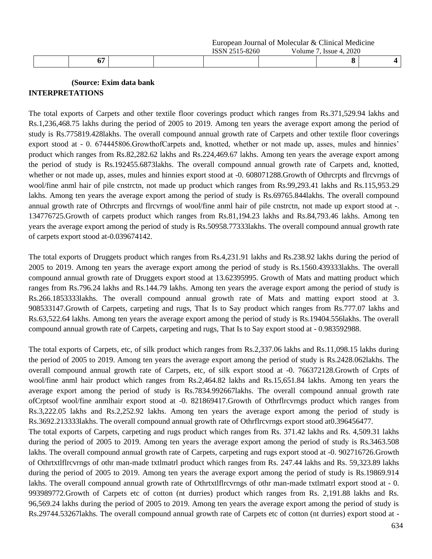|                    |  | TCAYAFA<br>5-8260<br>◟◟<br>___ | 2020<br>ssue<br>____<br>. |  |
|--------------------|--|--------------------------------|---------------------------|--|
| ∽≕<br>$\mathbf{u}$ |  |                                |                           |  |

### **(Source: Exim data bank INTERPRETATIONS**

The total exports of Carpets and other textile floor coverings product which ranges from Rs.371,529.94 lakhs and Rs.1,236,468.75 lakhs during the period of 2005 to 2019. Among ten years the average export among the period of study is Rs.775819.428lakhs. The overall compound annual growth rate of Carpets and other textile floor coverings export stood at - 0. 674445806.GrowthofCarpets and, knotted, whether or not made up, asses, mules and hinnies' product which ranges from Rs.82,282.62 lakhs and Rs.224,469.67 lakhs. Among ten years the average export among the period of study is Rs.192455.6873lakhs. The overall compound annual growth rate of Carpets and, knotted, whether or not made up, asses, mules and hinnies export stood at -0. 608071288.Growth of Othrcrpts and flrcvrngs of wool/fine anml hair of pile cnstrctn, not made up product which ranges from Rs.99,293.41 lakhs and Rs.115,953.29 lakhs. Among ten years the average export among the period of study is Rs.69765.844lakhs. The overall compound annual growth rate of Othrcrpts and flrcvrngs of wool/fine anml hair of pile cnstrctn, not made up export stood at -. 134776725.Growth of carpets product which ranges from Rs.81,194.23 lakhs and Rs.84,793.46 lakhs. Among ten years the average export among the period of study is Rs.50958.77333lakhs. The overall compound annual growth rate of carpets export stood at-0.039674142.

The total exports of Druggets product which ranges from Rs.4,231.91 lakhs and Rs.238.92 lakhs during the period of 2005 to 2019. Among ten years the average export among the period of study is Rs.1560.439333lakhs. The overall compound annual growth rate of Druggets export stood at 13.62395995. Growth of Mats and matting product which ranges from Rs.796.24 lakhs and Rs.144.79 lakhs. Among ten years the average export among the period of study is Rs.266.1853333lakhs. The overall compound annual growth rate of Mats and matting export stood at 3. 908533147.Growth of Carpets, carpeting and rugs, That Is to Say product which ranges from Rs.777.07 lakhs and Rs.63,522.64 lakhs. Among ten years the average export among the period of study is Rs.19404.556lakhs. The overall compound annual growth rate of Carpets, carpeting and rugs, That Is to Say export stood at - 0.983592988.

The total exports of Carpets, etc, of silk product which ranges from Rs.2,337.06 lakhs and Rs.11,098.15 lakhs during the period of 2005 to 2019. Among ten years the average export among the period of study is Rs.2428.062lakhs. The overall compound annual growth rate of Carpets, etc, of silk export stood at -0. 766372128.Growth of Crpts of wool/fine anml hair product which ranges from Rs.2,464.82 lakhs and Rs.15,651.84 lakhs. Among ten years the average export among the period of study is Rs.7834.992667lakhs. The overall compound annual growth rate ofCrptsof wool/fine anmlhair export stood at -0. 821869417.Growth of Othrflrcvrngs product which ranges from Rs.3,222.05 lakhs and Rs.2,252.92 lakhs. Among ten years the average export among the period of study is Rs.3692.213333lakhs. The overall compound annual growth rate of Othrflrcvrngs export stood at0.396456477. The total exports of Carpets, carpeting and rugs product which ranges from Rs. 371.42 lakhs and Rs. 4,509.31 lakhs during the period of 2005 to 2019. Among ten years the average export among the period of study is Rs.3463.508 lakhs. The overall compound annual growth rate of Carpets, carpeting and rugs export stood at -0. 902716726.Growth of Othrtxtlflrcvrngs of othr man-made txtlmatrl product which ranges from Rs. 247.44 lakhs and Rs. 59,323.89 lakhs during the period of 2005 to 2019. Among ten years the average export among the period of study is Rs.19869.914

lakhs. The overall compound annual growth rate of Othrtxtlflrcvrngs of othr man-made txtlmatrl export stood at - 0. 993989772.Growth of Carpets etc of cotton (nt durries) product which ranges from Rs. 2,191.88 lakhs and Rs. 96,569.24 lakhs during the period of 2005 to 2019. Among ten years the average export among the period of study is Rs.29744.53267lakhs. The overall compound annual growth rate of Carpets etc of cotton (nt durries) export stood at -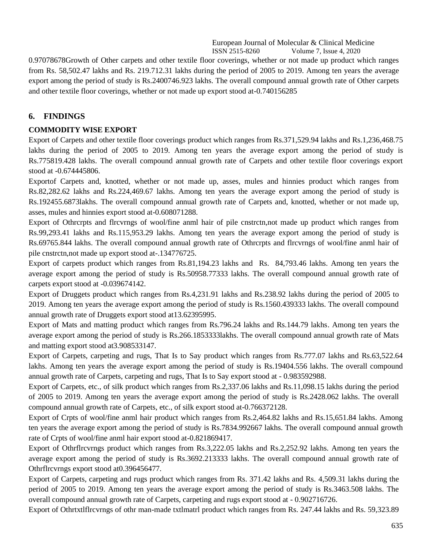0.97078678Growth of Other carpets and other textile floor coverings, whether or not made up product which ranges from Rs. 58,502.47 lakhs and Rs. 219.712.31 lakhs during the period of 2005 to 2019. Among ten years the average export among the period of study is Rs.2400746.923 lakhs. The overall compound annual growth rate of Other carpets and other textile floor coverings, whether or not made up export stood at-0.740156285

### **6. FINDINGS**

### **COMMODITY WISE EXPORT**

Export of Carpets and other textile floor coverings product which ranges from Rs.371,529.94 lakhs and Rs.1,236,468.75 lakhs during the period of 2005 to 2019. Among ten years the average export among the period of study is Rs.775819.428 lakhs. The overall compound annual growth rate of Carpets and other textile floor coverings export stood at -0.674445806.

Exportof Carpets and, knotted, whether or not made up, asses, mules and hinnies product which ranges from Rs.82,282.62 lakhs and Rs.224,469.67 lakhs. Among ten years the average export among the period of study is Rs.192455.6873lakhs. The overall compound annual growth rate of Carpets and, knotted, whether or not made up, asses, mules and hinnies export stood at-0.608071288.

Export of Othrcrpts and flrcvrngs of wool/fine anml hair of pile cnstrctn,not made up product which ranges from Rs.99,293.41 lakhs and Rs.115,953.29 lakhs. Among ten years the average export among the period of study is Rs.69765.844 lakhs. The overall compound annual growth rate of Othrcrpts and flrcvrngs of wool/fine anml hair of pile cnstrctn,not made up export stood at-.134776725.

Export of carpets product which ranges from Rs.81,194.23 lakhs and Rs. 84,793.46 lakhs. Among ten years the average export among the period of study is Rs.50958.77333 lakhs. The overall compound annual growth rate of carpets export stood at -0.039674142.

Export of Druggets product which ranges from Rs.4,231.91 lakhs and Rs.238.92 lakhs during the period of 2005 to 2019. Among ten years the average export among the period of study is Rs.1560.439333 lakhs. The overall compound annual growth rate of Druggets export stood at13.62395995.

Export of Mats and matting product which ranges from Rs.796.24 lakhs and Rs.144.79 lakhs. Among ten years the average export among the period of study is Rs.266.1853333lakhs. The overall compound annual growth rate of Mats and matting export stood at3.908533147.

Export of Carpets, carpeting and rugs, That Is to Say product which ranges from Rs.777.07 lakhs and Rs.63,522.64 lakhs. Among ten years the average export among the period of study is Rs.19404.556 lakhs. The overall compound annual growth rate of Carpets, carpeting and rugs, That Is to Say export stood at - 0.983592988.

Export of Carpets, etc., of silk product which ranges from Rs.2,337.06 lakhs and Rs.11,098.15 lakhs during the period of 2005 to 2019. Among ten years the average export among the period of study is Rs.2428.062 lakhs. The overall compound annual growth rate of Carpets, etc., of silk export stood at-0.766372128.

Export of Crpts of wool/fine anml hair product which ranges from Rs.2,464.82 lakhs and Rs.15,651.84 lakhs. Among ten years the average export among the period of study is Rs.7834.992667 lakhs. The overall compound annual growth rate of Crpts of wool/fine anml hair export stood at-0.821869417.

Export of Othrflrcvrngs product which ranges from Rs.3,222.05 lakhs and Rs.2,252.92 lakhs. Among ten years the average export among the period of study is Rs.3692.213333 lakhs. The overall compound annual growth rate of Othrflrcvrngs export stood at0.396456477.

Export of Carpets, carpeting and rugs product which ranges from Rs. 371.42 lakhs and Rs. 4,509.31 lakhs during the period of 2005 to 2019. Among ten years the average export among the period of study is Rs.3463.508 lakhs. The overall compound annual growth rate of Carpets, carpeting and rugs export stood at - 0.902716726.

Export of Othrtxtlflrcvrngs of othr man-made txtlmatrl product which ranges from Rs. 247.44 lakhs and Rs. 59,323.89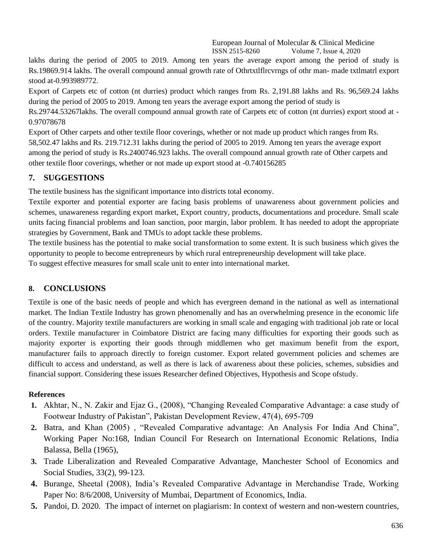lakhs during the period of 2005 to 2019. Among ten years the average export among the period of study is Rs.19869.914 lakhs. The overall compound annual growth rate of Othrtxtlflrcvrngs of othr man- made txtlmatrl export stood at-0.993989772.

Export of Carpets etc of cotton (nt durries) product which ranges from Rs. 2,191.88 lakhs and Rs. 96,569.24 lakhs during the period of 2005 to 2019. Among ten years the average export among the period of study is

Rs.29744.53267lakhs. The overall compound annual growth rate of Carpets etc of cotton (nt durries) export stood at - 0.97078678

Export of Other carpets and other textile floor coverings, whether or not made up product which ranges from Rs. 58,502.47 lakhs and Rs. 219.712.31 lakhs during the period of 2005 to 2019. Among ten years the average export among the period of study is Rs.2400746.923 lakhs. The overall compound annual growth rate of Other carpets and other textile floor coverings, whether or not made up export stood at -0.740156285

### **7. SUGGESTIONS**

The textile business has the significant importance into districts total economy.

Textile exporter and potential exporter are facing basis problems of unawareness about government policies and schemes, unawareness regarding export market, Export country, products, documentations and procedure. Small scale units facing financial problems and loan sanction, poor margin, labor problem. It has needed to adopt the appropriate strategies by Government, Bank and TMUs to adopt tackle these problems.

The textile business has the potential to make social transformation to some extent. It is such business which gives the opportunity to people to become entrepreneurs by which rural entrepreneurship development will take place. To suggest effective measures for small scale unit to enter into international market.

### **8. CONCLUSIONS**

Textile is one of the basic needs of people and which has evergreen demand in the national as well as international market. The Indian Textile Industry has grown phenomenally and has an overwhelming presence in the economic life of the country. Majority textile manufacturers are working in small scale and engaging with traditional job rate or local orders. Textile manufacturer in Coimbatore District are facing many difficulties for exporting their goods such as majority exporter is exporting their goods through middlemen who get maximum benefit from the export, manufacturer fails to approach directly to foreign customer. Export related government policies and schemes are difficult to access and understand, as well as there is lack of awareness about these policies, schemes, subsidies and financial support. Considering these issues Researcher defined Objectives, Hypothesis and Scope ofstudy.

### **References**

- **1.** Akhtar, N., N. Zakir and Ejaz G., (2008), "Changing Revealed Comparative Advantage: a case study of Footwear Industry of Pakistan", Pakistan Development Review, 47(4), 695-709
- **2.** Batra, and Khan (2005) , "Revealed Comparative advantage: An Analysis For India And China", Working Paper No:168, Indian Council For Research on International Economic Relations, India Balassa, Bella (1965),
- **3.** Trade Liberalization and Revealed Comparative Advantage, Manchester School of Economics and Social Studies, 33(2), 99-123.
- **4.** Burange, Sheetal (2008), India's Revealed Comparative Advantage in Merchandise Trade, Working Paper No: 8/6/2008, University of Mumbai, Department of Economics, India.
- **5.** Pandoi, D. 2020. [The impact of internet on plagiarism: In context of western and non-western](https://www.scopus.com/record/display.uri?eid=2-s2.0-85084025069&origin=resultslist&sort=plf-f&src=s&sid=9282bf53cd81a91dc7052e62fce16da5&sot=autdocs&sdt=autdocs&sl=18&s=AU-ID%2857205704070%29&relpos=0&citeCnt=0&searchTerm=) countries,